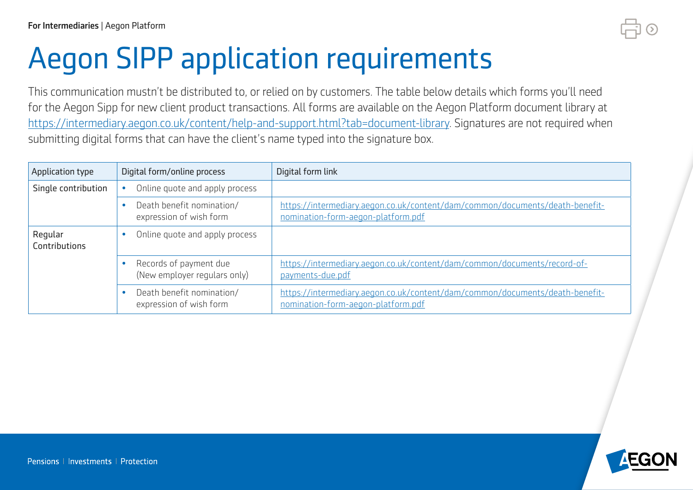## Aegon SIPP application requirements

This communication mustn't be distributed to, or relied on by customers. The table below details which forms you'll need for the Aegon Sipp for new client product transactions. All forms are available on the Aegon Platform document library at [https://intermediary.aegon.co.uk/content/help-and-support.html?tab=document-library.](https://intermediary.aegon.co.uk/content/help-and-support.html?tab=document-library) Signatures are not required when submitting digital forms that can have the client's name typed into the signature box.

| Application type         | Digital form/online process                            | Digital form link                                                                                                  |
|--------------------------|--------------------------------------------------------|--------------------------------------------------------------------------------------------------------------------|
| Single contribution      | Online quote and apply process                         |                                                                                                                    |
|                          | Death benefit nomination/<br>expression of wish form   | https://intermediary.aegon.co.uk/content/dam/common/documents/death-benefit-<br>nomination-form-aegon-platform.pdf |
| Regular<br>Contributions | Online quote and apply process                         |                                                                                                                    |
|                          | Records of payment due<br>(New employer regulars only) | https://intermediary.aegon.co.uk/content/dam/common/documents/record-of-<br>payments-due.pdf                       |
|                          | Death benefit nomination/<br>expression of wish form   | https://intermediary.aegon.co.uk/content/dam/common/documents/death-benefit-<br>nomination-form-aegon-platform.pdf |

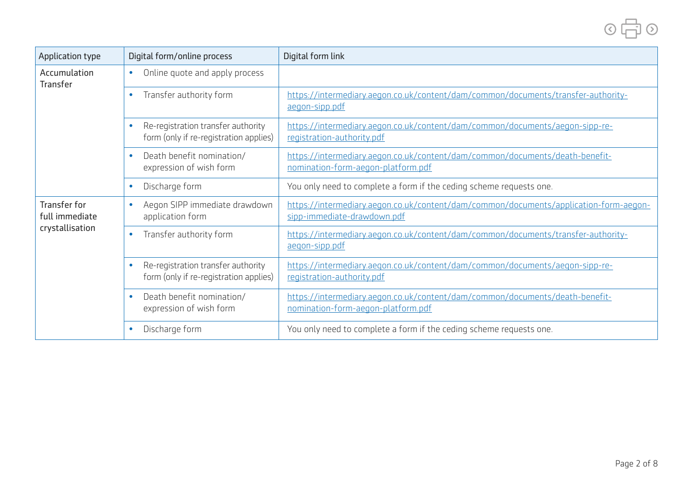| Application type                                         | Digital form/online process                                                  | Digital form link                                                                                                    |
|----------------------------------------------------------|------------------------------------------------------------------------------|----------------------------------------------------------------------------------------------------------------------|
| Accumulation<br>Transfer                                 | Online quote and apply process<br>$\bullet$                                  |                                                                                                                      |
|                                                          | Transfer authority form                                                      | https://intermediary.aegon.co.uk/content/dam/common/documents/transfer-authority-<br>aegon-sipp.pdf                  |
|                                                          | Re-registration transfer authority<br>form (only if re-registration applies) | https://intermediary.aegon.co.uk/content/dam/common/documents/aegon-sipp-re-<br>registration-authority.pdf           |
|                                                          | Death benefit nomination/<br>expression of wish form                         | https://intermediary.aegon.co.uk/content/dam/common/documents/death-benefit-<br>nomination-form-aegon-platform.pdf   |
|                                                          | Discharge form                                                               | You only need to complete a form if the ceding scheme requests one.                                                  |
| <b>Transfer for</b><br>full immediate<br>crystallisation | Aegon SIPP immediate drawdown<br>application form                            | https://intermediary.aegon.co.uk/content/dam/common/documents/application-form-aegon-<br>sipp-immediate-drawdown.pdf |
|                                                          | Transfer authority form                                                      | https://intermediary.aegon.co.uk/content/dam/common/documents/transfer-authority-<br>aegon-sipp.pdf                  |
|                                                          | Re-registration transfer authority<br>form (only if re-registration applies) | https://intermediary.aegon.co.uk/content/dam/common/documents/aegon-sipp-re-<br>registration-authority.pdf           |

[nomination-form-aegon-platform.pdf](https://intermediary.aegon.co.uk/content/dam/common/documents/death-benefit-nomination-form-aegon-platform.pdf)

• Discharge form <br>You only need to complete a form if the ceding scheme requests one.

[https://intermediary.aegon.co.uk/content/dam/common/documents/death-benefit-](https://intermediary.aegon.co.uk/content/dam/common/documents/death-benefit-nomination-form-aegon-platform.pdf)

> • Death benefit nomination/ expression of wish form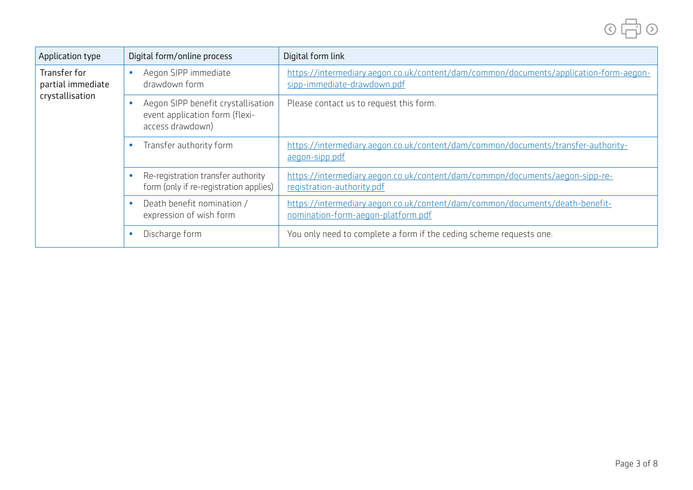

| Application type                                            | Digital form/online process                                                               | Digital form link                                                                                                    |
|-------------------------------------------------------------|-------------------------------------------------------------------------------------------|----------------------------------------------------------------------------------------------------------------------|
| <b>Transfer for</b><br>partial immediate<br>crystallisation | Aegon SIPP immediate<br>drawdown form                                                     | https://intermediary.aegon.co.uk/content/dam/common/documents/application-form-aegon-<br>sipp-immediate-drawdown.pdf |
|                                                             | Aegon SIPP benefit crystallisation<br>event application form (flexi-<br>access drawdown)  | Please contact us to request this form.                                                                              |
|                                                             | Transfer authority form                                                                   | https://intermediary.aegon.co.uk/content/dam/common/documents/transfer-authority-<br>aegon-sipp.pdf                  |
|                                                             | Re-registration transfer authority<br>$\bullet$<br>form (only if re-registration applies) | https://intermediary.aegon.co.uk/content/dam/common/documents/aegon-sipp-re-<br>registration-authority.pdf           |
|                                                             | Death benefit nomination /<br>$\bullet$<br>expression of wish form                        | https://intermediary.aegon.co.uk/content/dam/common/documents/death-benefit-<br>nomination-form-aegon-platform.pdf   |
|                                                             | Discharge form<br>$\bullet$                                                               | You only need to complete a form if the ceding scheme requests one.                                                  |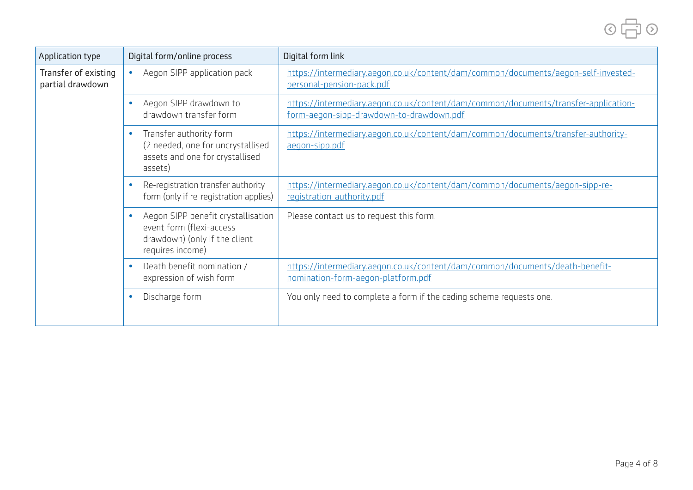| Application type                         | Digital form/online process                                                                                             | Digital form link                                                                                                               |
|------------------------------------------|-------------------------------------------------------------------------------------------------------------------------|---------------------------------------------------------------------------------------------------------------------------------|
| Transfer of existing<br>partial drawdown | Aegon SIPP application pack<br>$\bullet$                                                                                | https://intermediary.aegon.co.uk/content/dam/common/documents/aegon-self-invested-<br>personal-pension-pack.pdf                 |
|                                          | Aegon SIPP drawdown to<br>drawdown transfer form                                                                        | https://intermediary.aegon.co.uk/content/dam/common/documents/transfer-application-<br>form-aegon-sipp-drawdown-to-drawdown.pdf |
|                                          | Transfer authority form<br>$\bullet$<br>(2 needed, one for uncrystallised<br>assets and one for crystallised<br>assets) | https://intermediary.aegon.co.uk/content/dam/common/documents/transfer-authority-<br>aegon-sipp.pdf                             |
|                                          | Re-registration transfer authority<br>form (only if re-registration applies)                                            | https://intermediary.aegon.co.uk/content/dam/common/documents/aegon-sipp-re-<br>registration-authority.pdf                      |
|                                          | Aegon SIPP benefit crystallisation<br>event form (flexi-access<br>drawdown) (only if the client<br>requires income)     | Please contact us to request this form.                                                                                         |
|                                          | Death benefit nomination /<br>expression of wish form                                                                   | https://intermediary.aegon.co.uk/content/dam/common/documents/death-benefit-<br>nomination-form-aegon-platform.pdf              |
|                                          | Discharge form                                                                                                          | You only need to complete a form if the ceding scheme requests one.                                                             |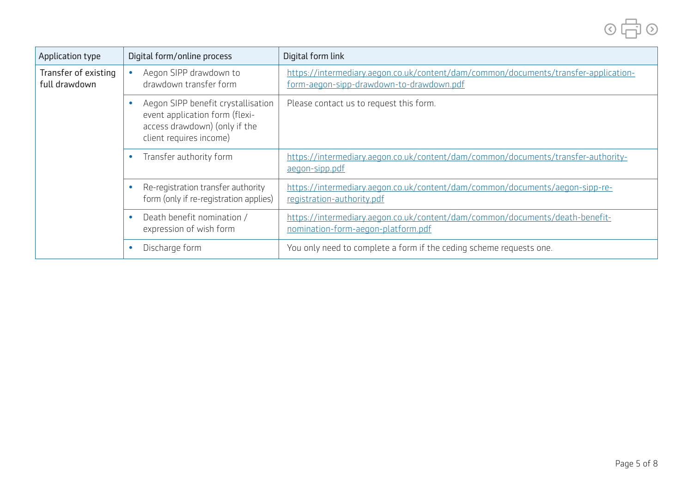

| Application type                      | Digital form/online process                                                                                                                   | Digital form link                                                                                                               |
|---------------------------------------|-----------------------------------------------------------------------------------------------------------------------------------------------|---------------------------------------------------------------------------------------------------------------------------------|
| Transfer of existing<br>full drawdown | Aegon SIPP drawdown to<br>drawdown transfer form                                                                                              | https://intermediary.aegon.co.uk/content/dam/common/documents/transfer-application-<br>form-aegon-sipp-drawdown-to-drawdown.pdf |
|                                       | Aegon SIPP benefit crystallisation<br>$\bullet$<br>event application form (flexi-<br>access drawdown) (only if the<br>client requires income) | Please contact us to request this form.                                                                                         |
|                                       | Transfer authority form<br>$\bullet$                                                                                                          | https://intermediary.aegon.co.uk/content/dam/common/documents/transfer-authority-<br>aegon-sipp.pdf                             |
|                                       | Re-registration transfer authority<br>$\bullet$<br>form (only if re-registration applies)                                                     | https://intermediary.aegon.co.uk/content/dam/common/documents/aegon-sipp-re-<br>registration-authority.pdf                      |
|                                       | Death benefit nomination /<br>$\bullet$<br>expression of wish form                                                                            | https://intermediary.aegon.co.uk/content/dam/common/documents/death-benefit-<br>nomination-form-aegon-platform.pdf              |
|                                       | Discharge form<br>$\bullet$                                                                                                                   | You only need to complete a form if the ceding scheme requests one.                                                             |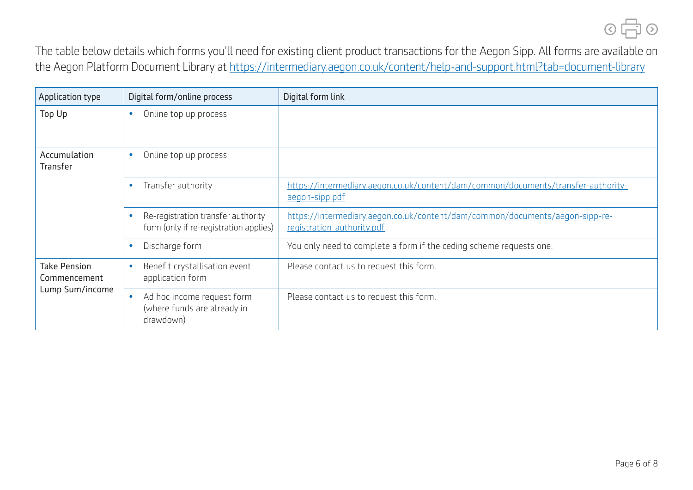

The table below details which forms you'll need for existing client product transactions for the Aegon Sipp. All forms are available on the Aegon Platform Document Library at<https://intermediary.aegon.co.uk/content/help-and-support.html?tab=document-library>

| Application type                                       | Digital form/online process                                                  | Digital form link                                                                                          |
|--------------------------------------------------------|------------------------------------------------------------------------------|------------------------------------------------------------------------------------------------------------|
| Top Up                                                 | Online top up process<br>$\bullet$                                           |                                                                                                            |
| Accumulation<br><b>Transfer</b>                        | Online top up process<br>۰                                                   |                                                                                                            |
|                                                        | Transfer authority<br>$\bullet$                                              | https://intermediary.aegon.co.uk/content/dam/common/documents/transfer-authority-<br>aegon-sipp.pdf        |
|                                                        | Re-registration transfer authority<br>form (only if re-registration applies) | https://intermediary.aegon.co.uk/content/dam/common/documents/aegon-sipp-re-<br>registration-authority.pdf |
|                                                        | Discharge form<br>۰                                                          | You only need to complete a form if the ceding scheme requests one.                                        |
| <b>Take Pension</b><br>Commencement<br>Lump Sum/income | Benefit crystallisation event<br>application form                            | Please contact us to request this form.                                                                    |
|                                                        | Ad hoc income request form<br>۰<br>(where funds are already in<br>drawdown)  | Please contact us to request this form.                                                                    |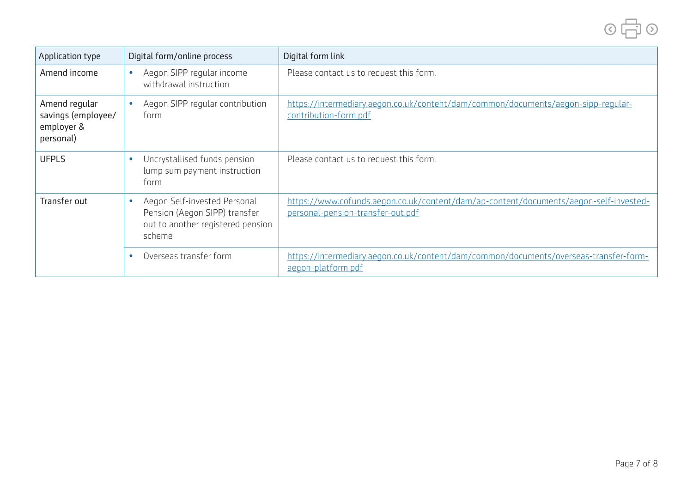

| Application type                                               | Digital form/online process                                                                                               | Digital form link                                                                                                          |
|----------------------------------------------------------------|---------------------------------------------------------------------------------------------------------------------------|----------------------------------------------------------------------------------------------------------------------------|
| Amend income                                                   | Aegon SIPP regular income<br>withdrawal instruction                                                                       | Please contact us to request this form.                                                                                    |
| Amend regular<br>savings (employee/<br>employer &<br>personal) | Aegon SIPP regular contribution<br>form                                                                                   | https://intermediary.aegon.co.uk/content/dam/common/documents/aegon-sipp-regular-<br>contribution-form.pdf                 |
| <b>UFPLS</b>                                                   | Uncrystallised funds pension<br>lump sum payment instruction<br>form                                                      | Please contact us to request this form.                                                                                    |
| Transfer out                                                   | Aegon Self-invested Personal<br>$\bullet$<br>Pension (Aegon SIPP) transfer<br>out to another registered pension<br>scheme | https://www.cofunds.aegon.co.uk/content/dam/ap-content/documents/aegon-self-invested-<br>personal-pension-transfer-out.pdf |
|                                                                | Overseas transfer form                                                                                                    | https://intermediary.aegon.co.uk/content/dam/common/documents/overseas-transfer-form-<br>aegon-platform.pdf                |